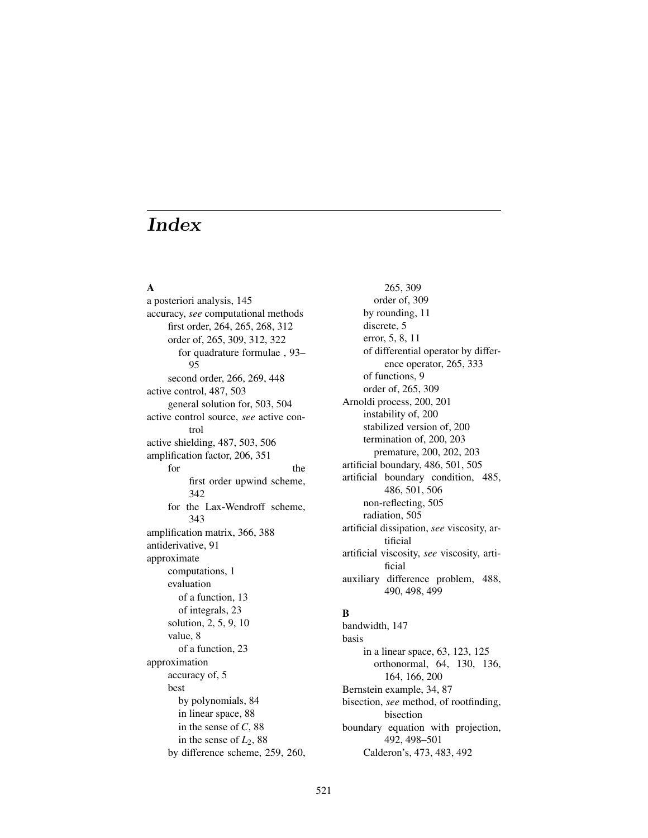## A

a posteriori analysis, 145 accuracy, *see* computational methods first order, 264, 265, 268, 312 order of, 265, 309, 312, 322 for quadrature formulae , 93– 95 second order, 266, 269, 448 active control, 487, 503 general solution for, 503, 504 active control source, *see* active control active shielding, 487, 503, 506 amplification factor, 206, 351 for the the state of  $\mathbf{r}$ first order upwind scheme, 342 for the Lax-Wendroff scheme, 343 amplification matrix, 366, 388 antiderivative, 91 approximate computations, 1 evaluation of a function, 13 of integrals, 23 solution, 2, 5, 9, 10 value, 8 of a function, 23 approximation accuracy of, 5 best by polynomials, 84 in linear space, 88 in the sense of *C*, 88 in the sense of  $L_2$ , 88 by difference scheme, 259, 260,

265, 309 order of, 309 by rounding, 11 discrete, 5 error, 5, 8, 11 of differential operator by difference operator, 265, 333 of functions, 9 order of, 265, 309 Arnoldi process, 200, 201 instability of, 200 stabilized version of, 200 termination of, 200, 203 premature, 200, 202, 203 artificial boundary, 486, 501, 505 artificial boundary condition, 485, 486, 501, 506 non-reflecting, 505 radiation, 505 artificial dissipation, *see* viscosity, artificial artificial viscosity, *see* viscosity, artificial auxiliary difference problem, 488, 490, 498, 499

## B

bandwidth, 147 basis in a linear space, 63, 123, 125 orthonormal, 64, 130, 136, 164, 166, 200 Bernstein example, 34, 87 bisection, *see* method, of rootfinding, bisection boundary equation with projection, 492, 498–501 Calderon's, 473, 483, 492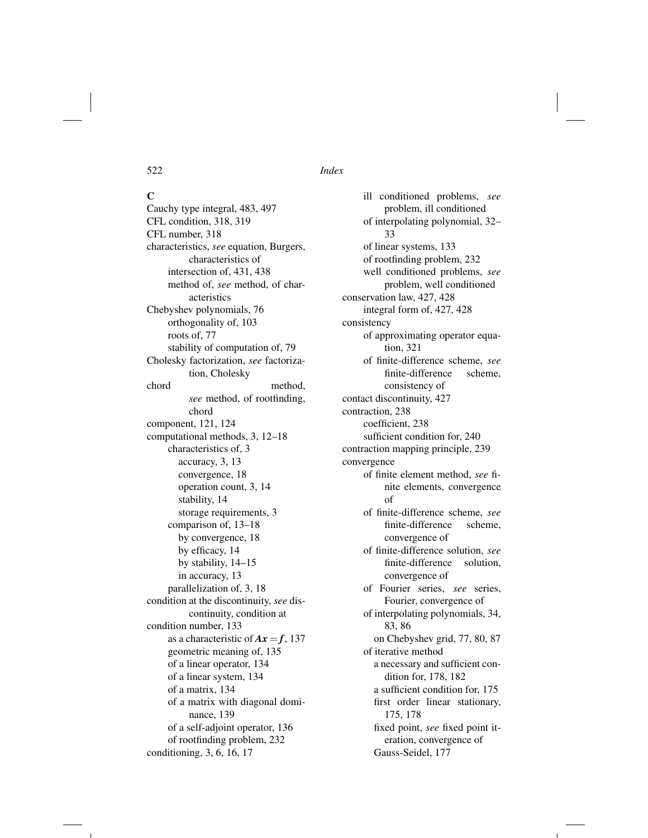$\mathbf C$ Cauchy type integral, 483, 497 CFL condition, 318, 319 CFL number, 318 characteristics, *see* equation, Burgers, characteristics of intersection of, 431, 438 method of, *see* method, of characteristics Chebyshev polynomials, 76 orthogonality of, 103 roots of, 77 stability of computation of, 79 Cholesky factorization, *see* factorization, Cholesky chord method, *see* method, of rootfinding, chord component, 121, 124 computational methods, 3, 12–18 characteristics of, 3 accuracy, 3, 13 convergence, 18 operation count, 3, 14 stability, 14 storage requirements, 3 comparison of, 13–18 by convergence, 18 by efficacy, 14 by stability, 14–15 in accuracy, 13 parallelization of, 3, 18 condition at the discontinuity, *see* discontinuity, condition at condition number, 133 as a characteristic of  $Ax = f$ , 137 geometric meaning of, 135 of a linear operator, 134 of a linear system, 134 of a matrix, 134 of a matrix with diagonal dominance, 139 of a self-adjoint operator, 136 of rootfinding problem, 232 conditioning, 3, 6, 16, 17

ill conditioned problems, *see* problem, ill conditioned of interpolating polynomial, 32– 33 of linear systems, 133 of rootfinding problem, 232 well conditioned problems, *see* problem, well conditioned conservation law, 427, 428 integral form of, 427, 428 consistency of approximating operator equation, 321 of finite-difference scheme, *see* finite-difference scheme, consistency of contact discontinuity, 427 contraction, 238 coefficient, 238 sufficient condition for, 240 contraction mapping principle, 239 convergence of finite element method, *see* finite elements, convergence of of finite-difference scheme, *see* finite-difference scheme, convergence of of finite-difference solution, *see* finite-difference solution, convergence of of Fourier series, *see* series, Fourier, convergence of of interpolating polynomials, 34, 83, 86 on Chebyshev grid, 77, 80, 87 of iterative method a necessary and sufficient condition for, 178, 182 a sufficient condition for, 175 first order linear stationary, 175, 178 fixed point, *see* fixed point iteration, convergence of Gauss-Seidel, 177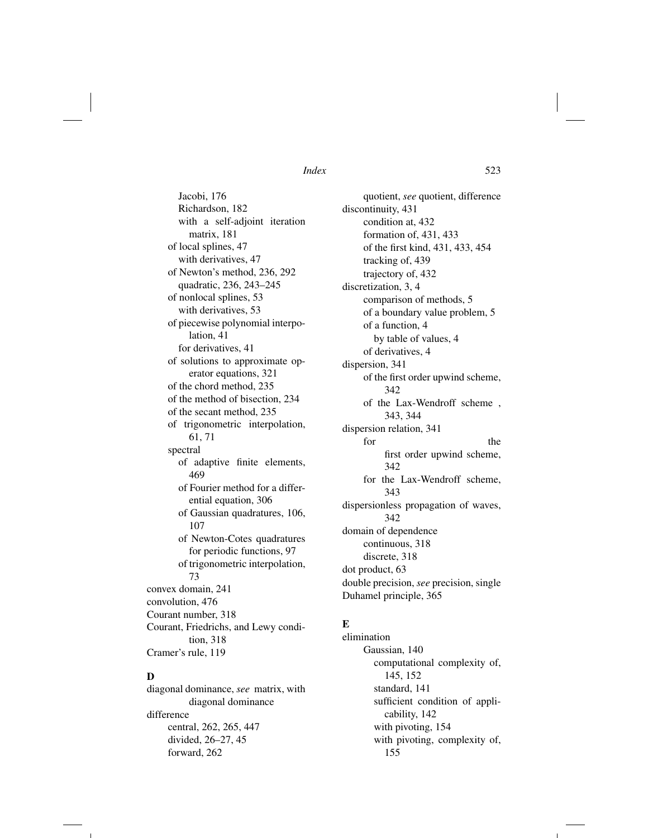Jacobi, 176 Richardson, 182 with a self-adjoint iteration matrix, 181 of local splines, 47 with derivatives, 47 of Newton's method, 236, 292 quadratic, 236, 243–245 of nonlocal splines, 53 with derivatives, 53 of piecewise polynomial interpolation, 41 for derivatives, 41 of solutions to approximate operator equations, 321 of the chord method, 235 of the method of bisection, 234 of the secant method, 235 of trigonometric interpolation, 61, 71 spectral of adaptive finite elements, 469 of Fourier method for a differential equation, 306 of Gaussian quadratures, 106, 107 of Newton-Cotes quadratures for periodic functions, 97 of trigonometric interpolation, 73 convex domain, 241 convolution, 476 Courant number, 318 Courant, Friedrichs, and Lewy condition, 318 Cramer's rule, 119

## D

diagonal dominance, *see* matrix, with diagonal dominance difference central, 262, 265, 447 divided, 26–27, 45 forward, 262

quotient, *see* quotient, difference discontinuity, 431 condition at, 432 formation of, 431, 433 of the first kind, 431, 433, 454 tracking of, 439 trajectory of, 432 discretization, 3, 4 comparison of methods, 5 of a boundary value problem, 5 of a function, 4 by table of values, 4 of derivatives, 4 dispersion, 341 of the first order upwind scheme, 342 of the Lax-Wendroff scheme , 343, 344 dispersion relation, 341 for the the state of  $\mathbf{r}$ first order upwind scheme, 342 for the Lax-Wendroff scheme, 343 dispersionless propagation of waves, 342 domain of dependence continuous, 318 discrete, 318 dot product, 63 double precision, *see* precision, single Duhamel principle, 365

## E

elimination Gaussian, 140 computational complexity of, 145, 152 standard, 141 sufficient condition of applicability, 142 with pivoting, 154 with pivoting, complexity of, 155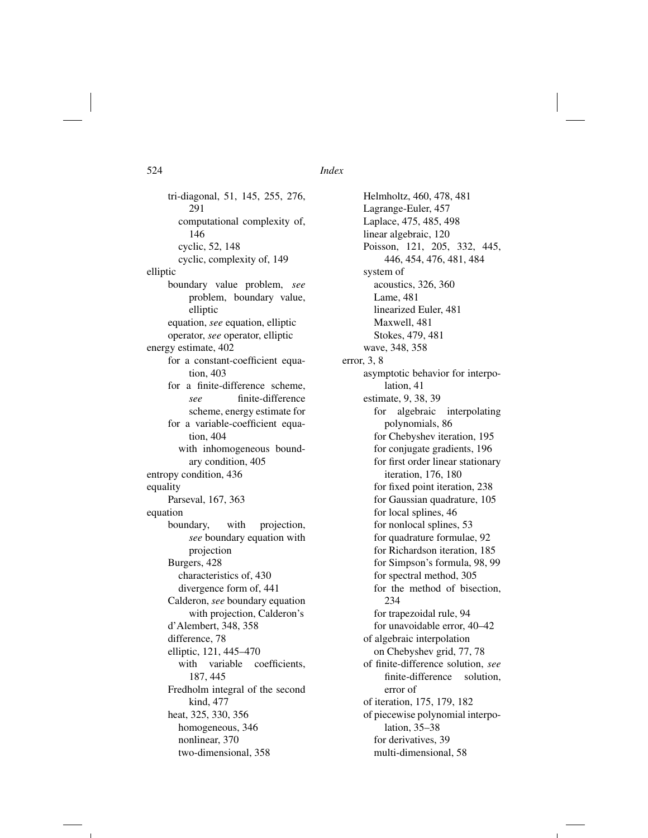tri-diagonal, 51, 145, 255, 276, 291 computational complexity of, 146 cyclic, 52, 148 cyclic, complexity of, 149 elliptic boundary value problem, *see* problem, boundary value, elliptic equation, *see* equation, elliptic operator, *see* operator, elliptic energy estimate, 402 for a constant-coefficient equation, 403 for a finite-difference scheme, *see* finite-difference scheme, energy estimate for for a variable-coefficient equation, 404 with inhomogeneous boundary condition, 405 entropy condition, 436 equality Parseval, 167, 363 equation boundary, with projection, *see* boundary equation with projection Burgers, 428 characteristics of, 430 divergence form of, 441 Calderon, *see* boundary equation with projection, Calderon's d'Alembert, 348, 358 difference, 78 elliptic, 121, 445–470 with variable coefficients, 187, 445 Fredholm integral of the second kind, 477 heat, 325, 330, 356 homogeneous, 346 nonlinear, 370 two-dimensional, 358

Helmholtz, 460, 478, 481 Lagrange-Euler, 457 Laplace, 475, 485, 498 linear algebraic, 120 Poisson, 121, 205, 332, 445, 446, 454, 476, 481, 484 system of acoustics, 326, 360 Lame, 481 linearized Euler, 481 Maxwell, 481 Stokes, 479, 481 wave, 348, 358 error, 3, 8 asymptotic behavior for interpolation, 41 estimate, 9, 38, 39 for algebraic interpolating polynomials, 86 for Chebyshev iteration, 195 for conjugate gradients, 196 for first order linear stationary iteration, 176, 180 for fixed point iteration, 238 for Gaussian quadrature, 105 for local splines, 46 for nonlocal splines, 53 for quadrature formulae, 92 for Richardson iteration, 185 for Simpson's formula, 98, 99 for spectral method, 305 for the method of bisection, 234 for trapezoidal rule, 94 for unavoidable error, 40–42 of algebraic interpolation on Chebyshev grid, 77, 78 of finite-difference solution, *see* finite-difference solution, error of of iteration, 175, 179, 182 of piecewise polynomial interpolation, 35–38 for derivatives, 39 multi-dimensional, 58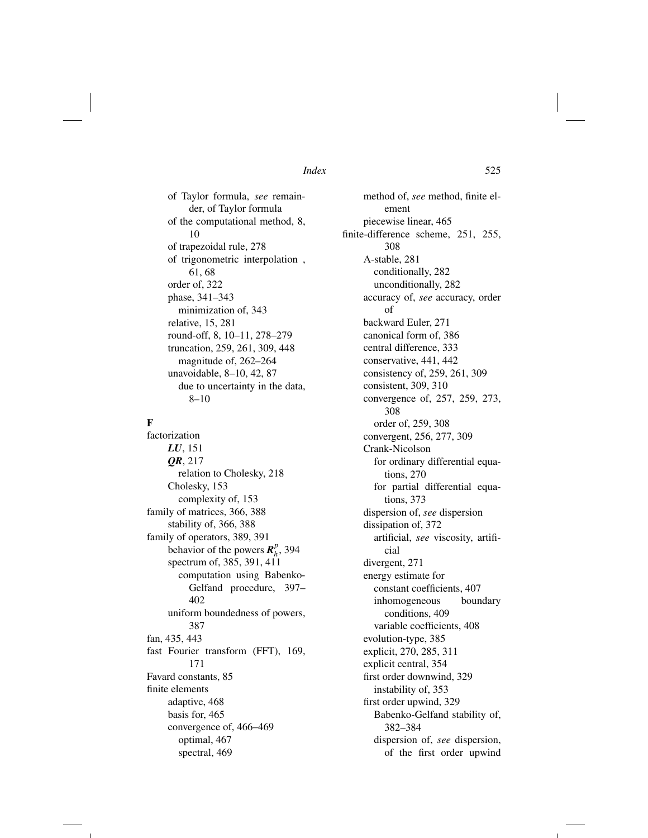of Taylor formula, *see* remainder, of Taylor formula of the computational method, 8, 10 of trapezoidal rule, 278 of trigonometric interpolation , 61, 68 order of, 322 phase, 341–343 minimization of, 343 relative, 15, 281 round-off, 8, 10–11, 278–279 truncation, 259, 261, 309, 448 magnitude of, 262–264 unavoidable, 8–10, 42, 87 due to uncertainty in the data, 8–10

## F

factorization *LU*, 151 *QR*, 217 relation to Cholesky, 218 Cholesky, 153 complexity of, 153 family of matrices, 366, 388 stability of, 366, 388 family of operators, 389, 391 behavior of the powers  $\mathbf{R}_h^p$ , 394 spectrum of, 385, 391, 411 computation using Babenko-Gelfand procedure, 397– 402 uniform boundedness of powers, 387 fan, 435, 443 fast Fourier transform (FFT), 169, 171 Favard constants, 85 finite elements adaptive, 468 basis for, 465 convergence of, 466–469 optimal, 467 spectral, 469

method of, *see* method, finite element piecewise linear, 465 finite-difference scheme, 251, 255, 308 A-stable, 281 conditionally, 282 unconditionally, 282 accuracy of, *see* accuracy, order of backward Euler, 271 canonical form of, 386 central difference, 333 conservative, 441, 442 consistency of, 259, 261, 309 consistent, 309, 310 convergence of, 257, 259, 273, 308 order of, 259, 308 convergent, 256, 277, 309 Crank-Nicolson for ordinary differential equations, 270 for partial differential equations, 373 dispersion of, *see* dispersion dissipation of, 372 artificial, *see* viscosity, artificial divergent, 271 energy estimate for constant coefficients, 407 inhomogeneous boundary conditions, 409 variable coefficients, 408 evolution-type, 385 explicit, 270, 285, 311 explicit central, 354 first order downwind, 329 instability of, 353 first order upwind, 329 Babenko-Gelfand stability of, 382–384 dispersion of, *see* dispersion, of the first order upwind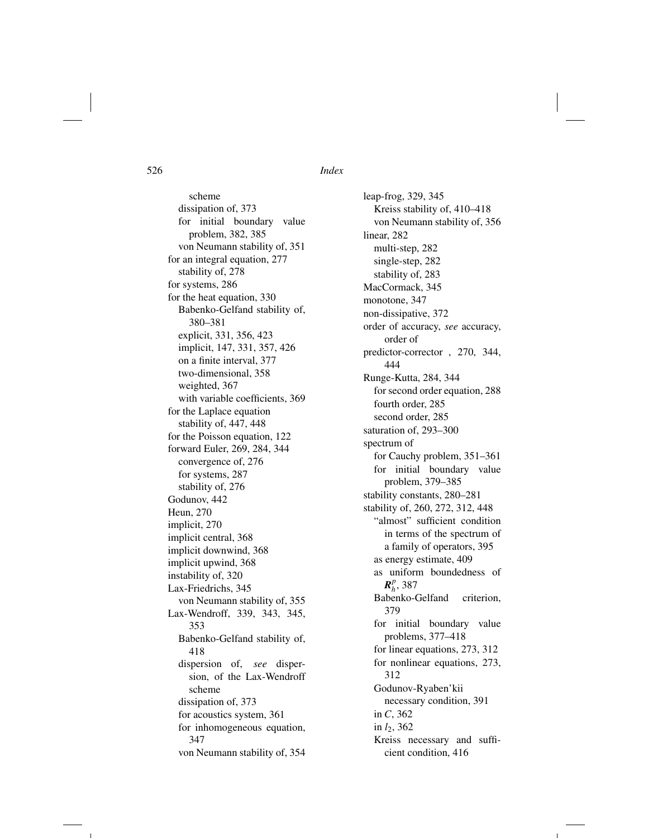scheme dissipation of, 373 for initial boundary value problem, 382, 385 von Neumann stability of, 351 for an integral equation, 277 stability of, 278 for systems, 286 for the heat equation, 330 Babenko-Gelfand stability of, 380–381 explicit, 331, 356, 423 implicit, 147, 331, 357, 426 on a finite interval, 377 two-dimensional, 358 weighted, 367 with variable coefficients, 369 for the Laplace equation stability of, 447, 448 for the Poisson equation, 122 forward Euler, 269, 284, 344 convergence of, 276 for systems, 287 stability of, 276 Godunov, 442 Heun, 270 implicit, 270 implicit central, 368 implicit downwind, 368 implicit upwind, 368 instability of, 320 Lax-Friedrichs, 345 von Neumann stability of, 355 Lax-Wendroff, 339, 343, 345, 353 Babenko-Gelfand stability of, 418 dispersion of, *see* dispersion, of the Lax-Wendroff scheme dissipation of, 373 for acoustics system, 361 for inhomogeneous equation, 347 von Neumann stability of, 354

leap-frog, 329, 345 Kreiss stability of, 410–418 von Neumann stability of, 356 linear, 282 multi-step, 282 single-step, 282 stability of, 283 MacCormack, 345 monotone, 347 non-dissipative, 372 order of accuracy, *see* accuracy, order of predictor-corrector , 270, 344, 444 Runge-Kutta, 284, 344 for second order equation, 288 fourth order, 285 second order, 285 saturation of, 293–300 spectrum of for Cauchy problem, 351–361 for initial boundary value problem, 379–385 stability constants, 280–281 stability of, 260, 272, 312, 448 "almost" sufficient condition in terms of the spectrum of a family of operators, 395 as energy estimate, 409 as uniform boundedness of  $R_h^p$ , 387 Babenko-Gelfand criterion, 379 for initial boundary value problems, 377–418 for linear equations, 273, 312 for nonlinear equations, 273, 312 Godunov-Ryaben'kii necessary condition, 391 in *C*, 362 in *l*2, 362 Kreiss necessary and sufficient condition, 416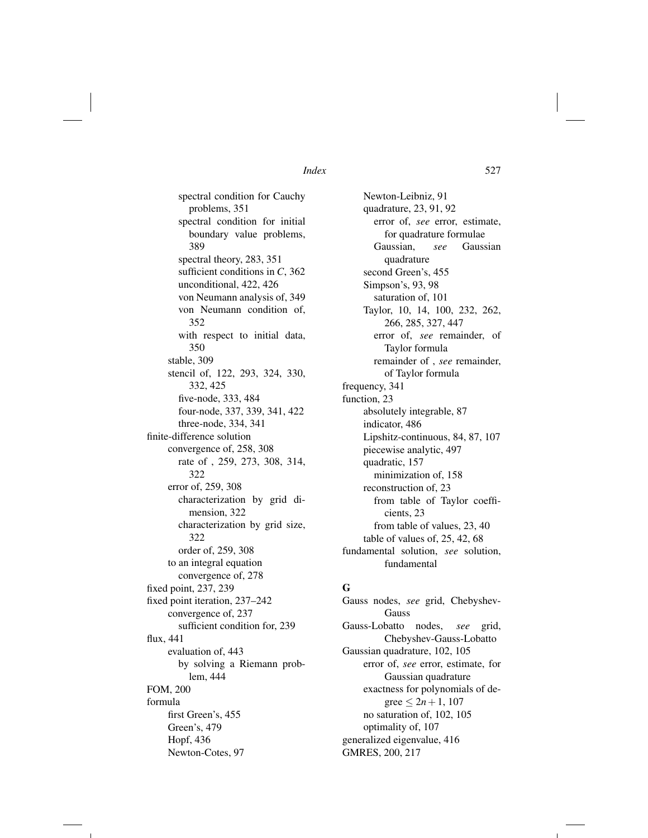spectral condition for Cauchy problems, 351 spectral condition for initial boundary value problems, 389 spectral theory, 283, 351 sufficient conditions in *C*, 362 unconditional, 422, 426 von Neumann analysis of, 349 von Neumann condition of, 352 with respect to initial data, 350 stable, 309 stencil of, 122, 293, 324, 330, 332, 425 five-node, 333, 484 four-node, 337, 339, 341, 422 three-node, 334, 341 finite-difference solution convergence of, 258, 308 rate of , 259, 273, 308, 314, 322 error of, 259, 308 characterization by grid dimension, 322 characterization by grid size, 322 order of, 259, 308 to an integral equation convergence of, 278 fixed point, 237, 239 fixed point iteration, 237–242 convergence of, 237 sufficient condition for, 239 flux, 441 evaluation of, 443 by solving a Riemann problem, 444 FOM, 200 formula first Green's, 455 Green's, 479 Hopf, 436 Newton-Cotes, 97

Newton-Leibniz, 91 quadrature, 23, 91, 92 error of, *see* error, estimate, for quadrature formulae Gaussian, *see* Gaussian quadrature second Green's, 455 Simpson's, 93, 98 saturation of, 101 Taylor, 10, 14, 100, 232, 262, 266, 285, 327, 447 error of, *see* remainder, of Taylor formula remainder of , *see* remainder, of Taylor formula frequency, 341 function, 23 absolutely integrable, 87 indicator, 486 Lipshitz-continuous, 84, 87, 107 piecewise analytic, 497 quadratic, 157 minimization of, 158 reconstruction of, 23 from table of Taylor coefficients, 23 from table of values, 23, 40 table of values of, 25, 42, 68 fundamental solution, *see* solution, fundamental

### G

Gauss nodes, *see* grid, Chebyshev-Gauss Gauss-Lobatto nodes, *see* grid, Chebyshev-Gauss-Lobatto Gaussian quadrature, 102, 105 error of, *see* error, estimate, for Gaussian quadrature exactness for polynomials of degree  $\leq 2n+1$ , 107 no saturation of, 102, 105 optimality of, 107 generalized eigenvalue, 416 GMRES, 200, 217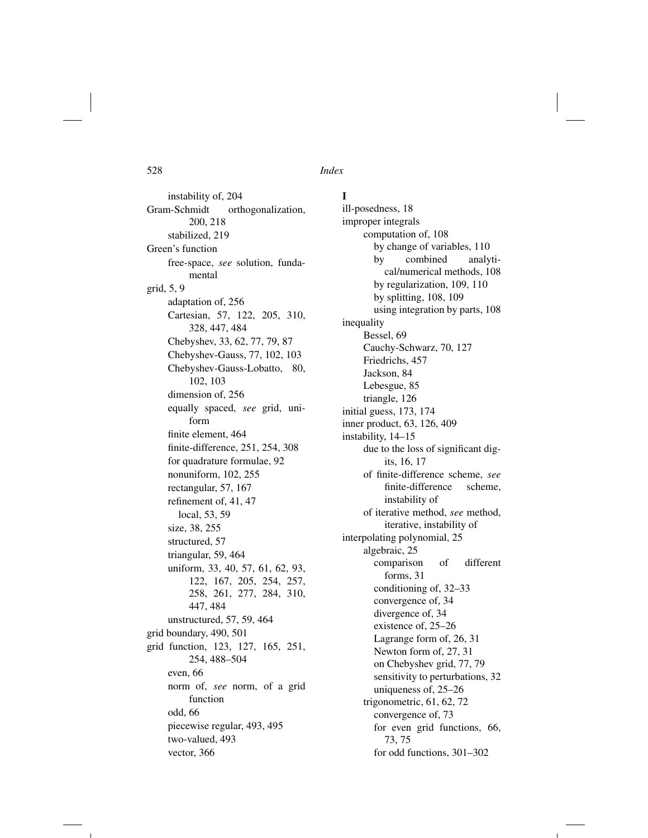I

instability of, 204 Gram-Schmidt orthogonalization, 200, 218 stabilized, 219 Green's function free-space, *see* solution, fundamental grid, 5, 9 adaptation of, 256 Cartesian, 57, 122, 205, 310, 328, 447, 484 Chebyshev, 33, 62, 77, 79, 87 Chebyshev-Gauss, 77, 102, 103 Chebyshev-Gauss-Lobatto, 80, 102, 103 dimension of, 256 equally spaced, *see* grid, uniform finite element, 464 finite-difference, 251, 254, 308 for quadrature formulae, 92 nonuniform, 102, 255 rectangular, 57, 167 refinement of, 41, 47 local, 53, 59 size, 38, 255 structured, 57 triangular, 59, 464 uniform, 33, 40, 57, 61, 62, 93, 122, 167, 205, 254, 257, 258, 261, 277, 284, 310, 447, 484 unstructured, 57, 59, 464 grid boundary, 490, 501 grid function, 123, 127, 165, 251, 254, 488–504 even, 66 norm of, *see* norm, of a grid function odd, 66 piecewise regular, 493, 495 two-valued, 493 vector, 366

ill-posedness, 18 improper integrals computation of, 108 by change of variables, 110 by combined analytical/numerical methods, 108 by regularization, 109, 110 by splitting, 108, 109 using integration by parts, 108 inequality Bessel, 69 Cauchy-Schwarz, 70, 127 Friedrichs, 457 Jackson, 84 Lebesgue, 85 triangle, 126 initial guess, 173, 174 inner product, 63, 126, 409 instability, 14–15 due to the loss of significant digits, 16, 17 of finite-difference scheme, *see* finite-difference scheme, instability of of iterative method, *see* method, iterative, instability of interpolating polynomial, 25 algebraic, 25 comparison of different forms, 31 conditioning of, 32–33 convergence of, 34 divergence of, 34 existence of, 25–26 Lagrange form of, 26, 31 Newton form of, 27, 31 on Chebyshev grid, 77, 79 sensitivity to perturbations, 32 uniqueness of, 25–26 trigonometric, 61, 62, 72 convergence of, 73 for even grid functions, 66, 73, 75 for odd functions, 301–302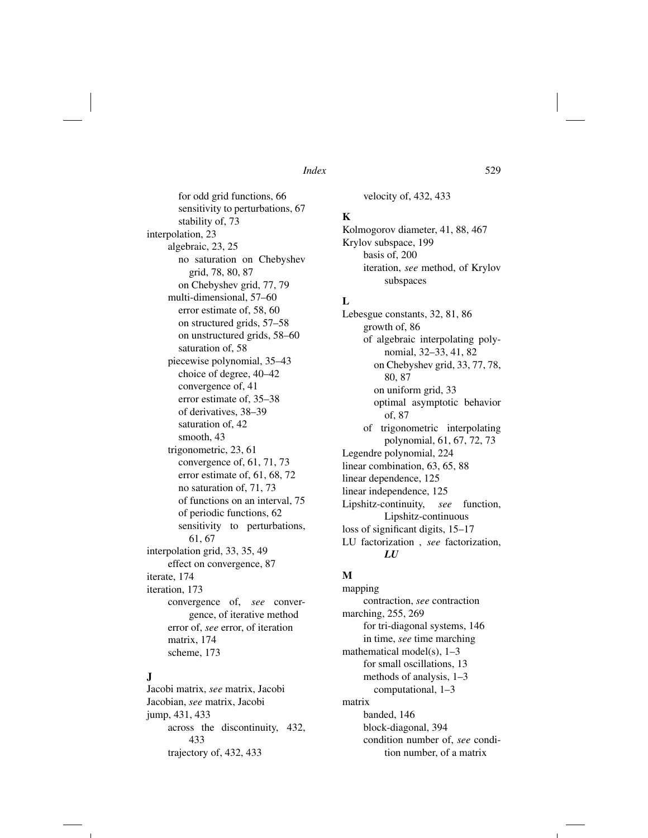for odd grid functions, 66 sensitivity to perturbations, 67 stability of, 73 interpolation, 23 algebraic, 23, 25 no saturation on Chebyshev grid, 78, 80, 87 on Chebyshev grid, 77, 79 multi-dimensional, 57–60 error estimate of, 58, 60 on structured grids, 57–58 on unstructured grids, 58–60 saturation of, 58 piecewise polynomial, 35–43 choice of degree, 40–42 convergence of, 41 error estimate of, 35–38 of derivatives, 38–39 saturation of, 42 smooth, 43 trigonometric, 23, 61 convergence of, 61, 71, 73 error estimate of, 61, 68, 72 no saturation of, 71, 73 of functions on an interval, 75 of periodic functions, 62 sensitivity to perturbations, 61, 67 interpolation grid, 33, 35, 49 effect on convergence, 87 iterate, 174 iteration, 173 convergence of, *see* convergence, of iterative method error of, *see* error, of iteration matrix, 174

## J

Jacobi matrix, *see* matrix, Jacobi Jacobian, *see* matrix, Jacobi jump, 431, 433 across the discontinuity, 432, 433 trajectory of, 432, 433

scheme, 173

velocity of, 432, 433

## K

Kolmogorov diameter, 41, 88, 467 Krylov subspace, 199 basis of, 200 iteration, *see* method, of Krylov subspaces

## L

Lebesgue constants, 32, 81, 86 growth of, 86 of algebraic interpolating polynomial, 32–33, 41, 82 on Chebyshev grid, 33, 77, 78, 80, 87 on uniform grid, 33 optimal asymptotic behavior of, 87 of trigonometric interpolating polynomial, 61, 67, 72, 73 Legendre polynomial, 224 linear combination, 63, 65, 88 linear dependence, 125 linear independence, 125 Lipshitz-continuity, *see* function, Lipshitz-continuous loss of significant digits, 15–17 LU factorization , *see* factorization, *LU*

## M

mapping contraction, *see* contraction marching, 255, 269 for tri-diagonal systems, 146 in time, *see* time marching mathematical model(s), 1–3 for small oscillations, 13 methods of analysis, 1–3 computational, 1–3 matrix banded, 146 block-diagonal, 394 condition number of, *see* condition number, of a matrix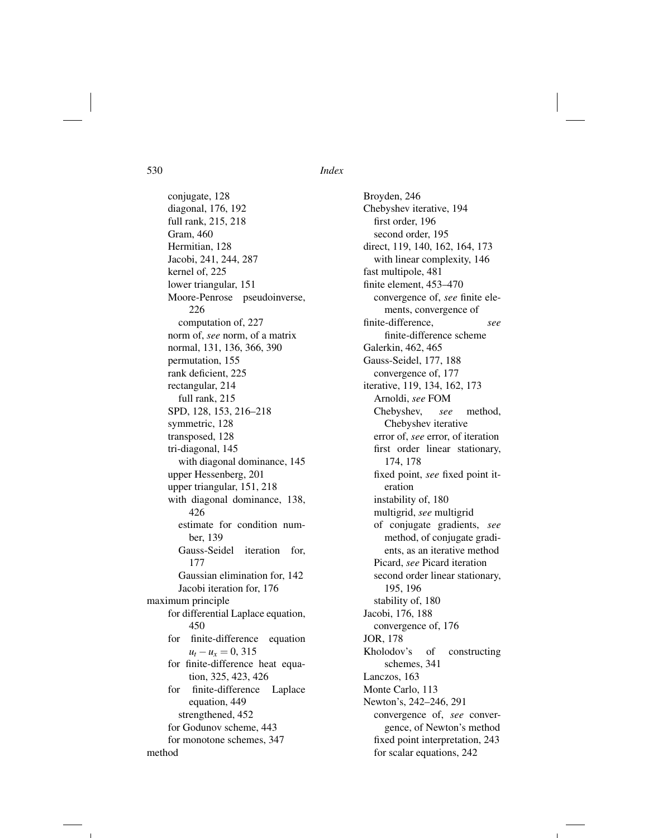conjugate, 128 diagonal, 176, 192 full rank, 215, 218 Gram, 460 Hermitian, 128 Jacobi, 241, 244, 287 kernel of, 225 lower triangular, 151 Moore-Penrose pseudoinverse, 226 computation of, 227 norm of, *see* norm, of a matrix normal, 131, 136, 366, 390 permutation, 155 rank deficient, 225 rectangular, 214 full rank, 215 SPD, 128, 153, 216–218 symmetric, 128 transposed, 128 tri-diagonal, 145 with diagonal dominance, 145 upper Hessenberg, 201 upper triangular, 151, 218 with diagonal dominance, 138, 426 estimate for condition number, 139 Gauss-Seidel iteration for, 177 Gaussian elimination for, 142 Jacobi iteration for, 176 maximum principle for differential Laplace equation, 450 for finite-difference equation  $u_t - u_x = 0$ , 315 for finite-difference heat equation, 325, 423, 426 for finite-difference Laplace equation, 449 strengthened, 452 for Godunov scheme, 443 for monotone schemes, 347

Broyden, 246 Chebyshev iterative, 194 first order, 196 second order, 195 direct, 119, 140, 162, 164, 173 with linear complexity, 146 fast multipole, 481 finite element, 453–470 convergence of, *see* finite elements, convergence of finite-difference, *see* finite-difference scheme Galerkin, 462, 465 Gauss-Seidel, 177, 188 convergence of, 177 iterative, 119, 134, 162, 173 Arnoldi, *see* FOM Chebyshev, *see* method, Chebyshev iterative error of, *see* error, of iteration first order linear stationary, 174, 178 fixed point, *see* fixed point iteration instability of, 180 multigrid, *see* multigrid of conjugate gradients, *see* method, of conjugate gradients, as an iterative method Picard, *see* Picard iteration second order linear stationary, 195, 196 stability of, 180 Jacobi, 176, 188 convergence of, 176 JOR, 178 Kholodov's of constructing schemes, 341 Lanczos, 163 Monte Carlo, 113 Newton's, 242–246, 291 convergence of, *see* convergence, of Newton's method fixed point interpretation, 243 for scalar equations, 242

method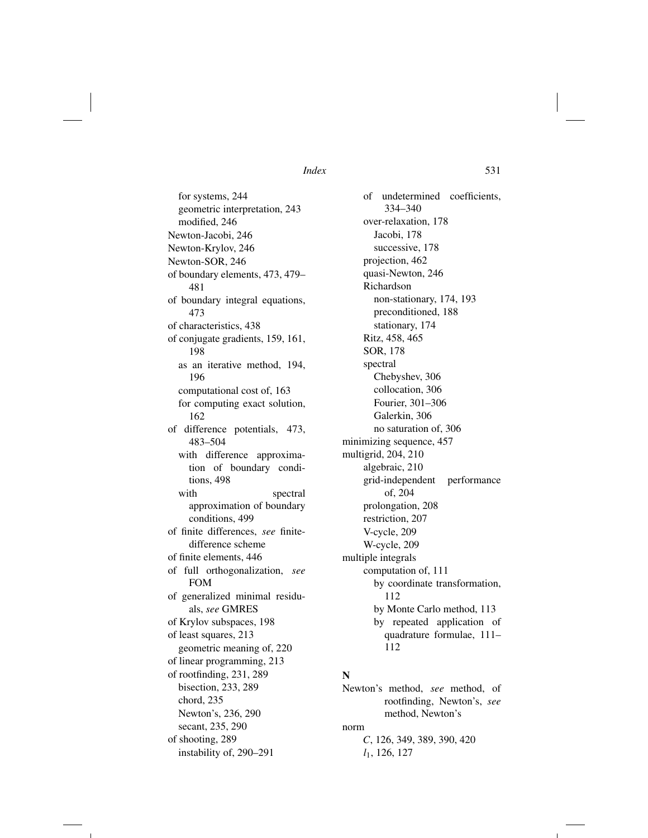for systems, 244 geometric interpretation, 243 modified, 246 Newton-Jacobi, 246 Newton-Krylov, 246 Newton-SOR, 246 of boundary elements, 473, 479– 481 of boundary integral equations, 473 of characteristics, 438 of conjugate gradients, 159, 161, 198 as an iterative method, 194, 196 computational cost of, 163 for computing exact solution, 162 of difference potentials, 473, 483–504 with difference approximation of boundary conditions, 498 with spectral approximation of boundary conditions, 499 of finite differences, *see* finitedifference scheme of finite elements, 446 of full orthogonalization, *see* FOM of generalized minimal residuals, *see* GMRES of Krylov subspaces, 198 of least squares, 213 geometric meaning of, 220 of linear programming, 213 of rootfinding, 231, 289 bisection, 233, 289 chord, 235 Newton's, 236, 290 secant, 235, 290 of shooting, 289 instability of, 290–291

of undetermined coefficients, 334–340 over-relaxation, 178 Jacobi, 178 successive, 178 projection, 462 quasi-Newton, 246 Richardson non-stationary, 174, 193 preconditioned, 188 stationary, 174 Ritz, 458, 465 SOR, 178 spectral Chebyshev, 306 collocation, 306 Fourier, 301–306 Galerkin, 306 no saturation of, 306 minimizing sequence, 457 multigrid, 204, 210 algebraic, 210 grid-independent performance of, 204 prolongation, 208 restriction, 207 V-cycle, 209 W-cycle, 209 multiple integrals computation of, 111 by coordinate transformation, 112 by Monte Carlo method, 113 by repeated application of quadrature formulae, 111– 112

## N

Newton's method, *see* method, of rootfinding, Newton's, *see* method, Newton's norm *C*, 126, 349, 389, 390, 420 *l*1, 126, 127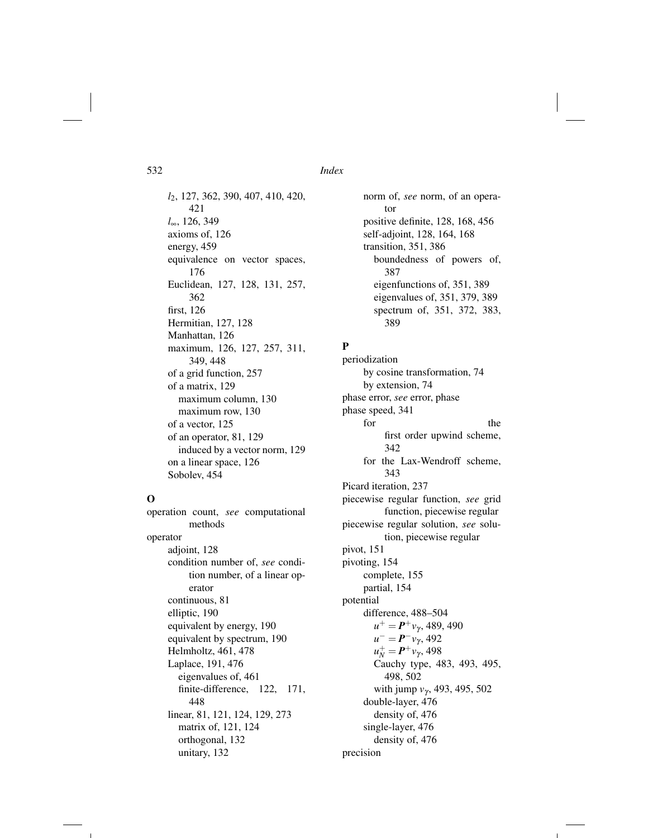*l*2, 127, 362, 390, 407, 410, 420, 421 *l*•, 126, 349 axioms of, 126 energy, 459 equivalence on vector spaces, 176 Euclidean, 127, 128, 131, 257, 362 first, 126 Hermitian, 127, 128 Manhattan, 126 maximum, 126, 127, 257, 311, 349, 448 of a grid function, 257 of a matrix, 129 maximum column, 130 maximum row, 130 of a vector, 125 of an operator, 81, 129 induced by a vector norm, 129 on a linear space, 126 Sobolev, 454

### O

operation count, *see* computational methods operator adjoint, 128 condition number of, *see* condition number, of a linear operator continuous, 81 elliptic, 190 equivalent by energy, 190 equivalent by spectrum, 190 Helmholtz, 461, 478 Laplace, 191, 476 eigenvalues of, 461 finite-difference, 122, 171, 448 linear, 81, 121, 124, 129, 273 matrix of, 121, 124 orthogonal, 132 unitary, 132

norm of, *see* norm, of an operator positive definite, 128, 168, 456 self-adjoint, 128, 164, 168 transition, 351, 386 boundedness of powers of, 387 eigenfunctions of, 351, 389 eigenvalues of, 351, 379, 389 spectrum of, 351, 372, 383, 389

## P

periodization by cosine transformation, 74 by extension, 74 phase error, *see* error, phase phase speed, 341 for the the state of  $\mathbf{r}$ first order upwind scheme, 342 for the Lax-Wendroff scheme, 343 Picard iteration, 237 piecewise regular function, *see* grid function, piecewise regular piecewise regular solution, *see* solution, piecewise regular pivot, 151 pivoting, 154 complete, 155 partial, 154 potential difference, 488–504  $u^+ = P^+v_\gamma$ , 489, 490  $u^- = P^- v_\gamma$ , 492  $u_N^+ = P^+ v_\gamma$ , 498 Cauchy type, 483, 493, 495, 498, 502 with jump  $v_{\gamma}$ , 493, 495, 502 double-layer, 476 density of, 476 single-layer, 476 density of, 476 precision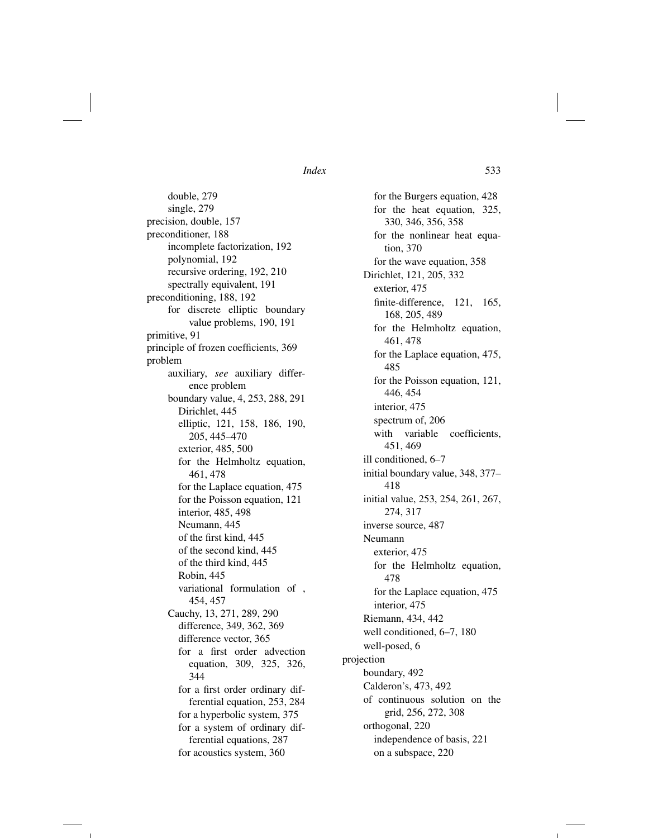double, 279 single, 279 precision, double, 157 preconditioner, 188 incomplete factorization, 192 polynomial, 192 recursive ordering, 192, 210 spectrally equivalent, 191 preconditioning, 188, 192 for discrete elliptic boundary value problems, 190, 191 primitive, 91 principle of frozen coefficients, 369 problem auxiliary, *see* auxiliary difference problem boundary value, 4, 253, 288, 291 Dirichlet, 445 elliptic, 121, 158, 186, 190, 205, 445–470 exterior, 485, 500 for the Helmholtz equation, 461, 478 for the Laplace equation, 475 for the Poisson equation, 121 interior, 485, 498 Neumann, 445 of the first kind, 445 of the second kind, 445 of the third kind, 445 Robin, 445 variational formulation of , 454, 457 Cauchy, 13, 271, 289, 290 difference, 349, 362, 369 difference vector, 365 for a first order advection equation, 309, 325, 326, 344 for a first order ordinary differential equation, 253, 284 for a hyperbolic system, 375 for a system of ordinary differential equations, 287 for acoustics system, 360

for the Burgers equation, 428 for the heat equation, 325, 330, 346, 356, 358 for the nonlinear heat equation, 370 for the wave equation, 358 Dirichlet, 121, 205, 332 exterior, 475 finite-difference, 121, 165, 168, 205, 489 for the Helmholtz equation, 461, 478 for the Laplace equation, 475, 485 for the Poisson equation, 121, 446, 454 interior, 475 spectrum of, 206 with variable coefficients, 451, 469 ill conditioned, 6–7 initial boundary value, 348, 377– 418 initial value, 253, 254, 261, 267, 274, 317 inverse source, 487 Neumann exterior, 475 for the Helmholtz equation, 478 for the Laplace equation, 475 interior, 475 Riemann, 434, 442 well conditioned, 6–7, 180 well-posed, 6 projection boundary, 492 Calderon's, 473, 492 of continuous solution on the grid, 256, 272, 308 orthogonal, 220 independence of basis, 221 on a subspace, 220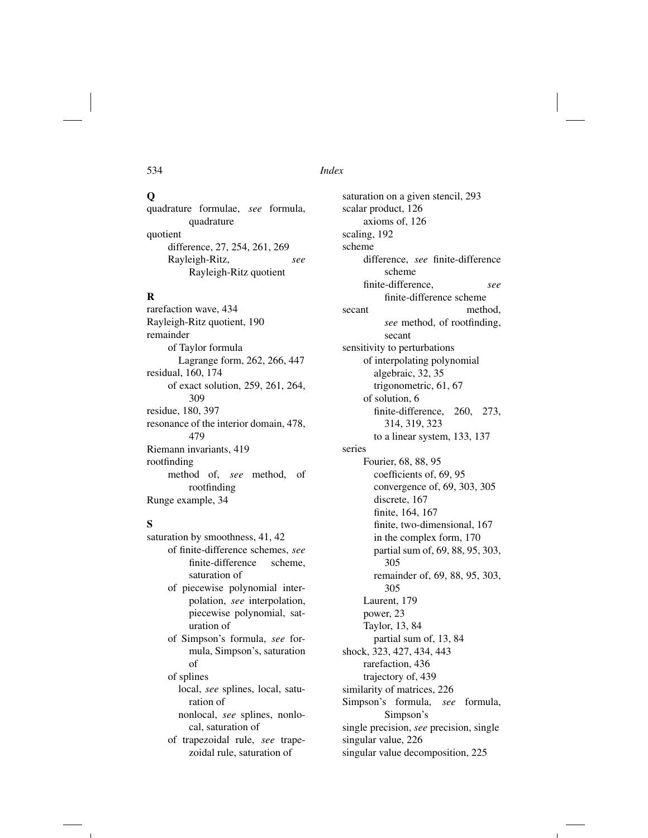## $\mathbf 0$

quadrature formulae, *see* formula, quadrature quotient difference, 27, 254, 261, 269 Rayleigh-Ritz, *see* Rayleigh-Ritz quotient

## R

rarefaction wave, 434 Rayleigh-Ritz quotient, 190 remainder of Taylor formula Lagrange form, 262, 266, 447 residual, 160, 174 of exact solution, 259, 261, 264, 309 residue, 180, 397 resonance of the interior domain, 478, 479 Riemann invariants, 419 rootfinding method of, *see* method, of rootfinding Runge example, 34

## S

saturation by smoothness, 41, 42 of finite-difference schemes, *see* finite-difference scheme, saturation of of piecewise polynomial interpolation, *see* interpolation, piecewise polynomial, saturation of of Simpson's formula, *see* formula, Simpson's, saturation of of splines local, *see* splines, local, saturation of nonlocal, *see* splines, nonlocal, saturation of of trapezoidal rule, *see* trapezoidal rule, saturation of

saturation on a given stencil, 293 scalar product, 126 axioms of, 126 scaling, 192 scheme difference, *see* finite-difference scheme finite-difference, *see* finite-difference scheme secant method, *see* method, of rootfinding, secant sensitivity to perturbations of interpolating polynomial algebraic, 32, 35 trigonometric, 61, 67 of solution, 6 finite-difference, 260, 273, 314, 319, 323 to a linear system, 133, 137 series Fourier, 68, 88, 95 coefficients of, 69, 95 convergence of, 69, 303, 305 discrete, 167 finite, 164, 167 finite, two-dimensional, 167 in the complex form, 170 partial sum of, 69, 88, 95, 303, 305 remainder of, 69, 88, 95, 303, 305 Laurent, 179 power, 23 Taylor, 13, 84 partial sum of, 13, 84 shock, 323, 427, 434, 443 rarefaction, 436 trajectory of, 439 similarity of matrices, 226 Simpson's formula, *see* formula, Simpson's single precision, *see* precision, single singular value, 226 singular value decomposition, 225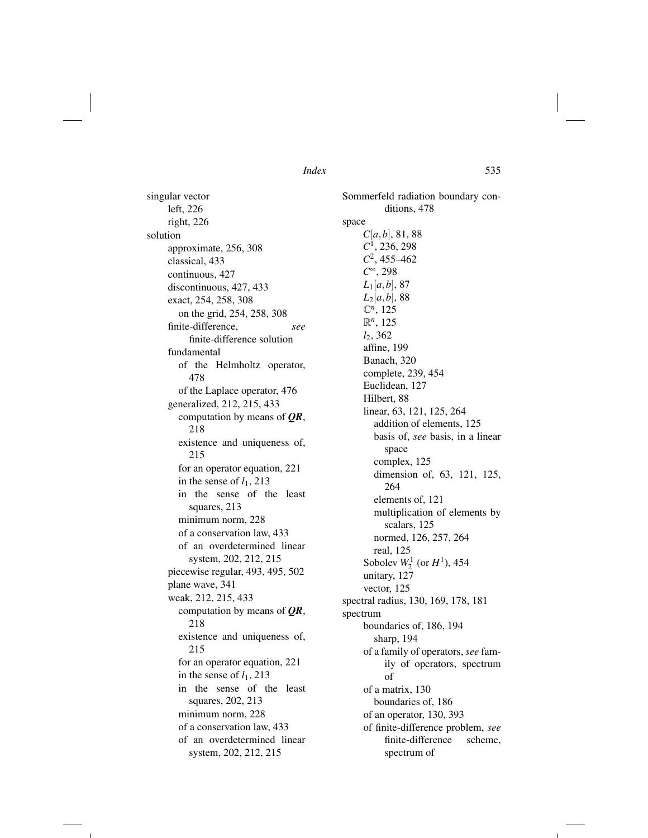singular vector left, 226 right, 226 solution approximate, 256, 308 classical, 433 continuous, 427 discontinuous, 427, 433 exact, 254, 258, 308 on the grid, 254, 258, 308 finite-difference, *see* finite-difference solution fundamental of the Helmholtz operator, 478 of the Laplace operator, 476 generalized, 212, 215, 433 computation by means of *QR*, 218 existence and uniqueness of, 215 for an operator equation, 221 in the sense of  $l_1$ , 213 in the sense of the least squares, 213 minimum norm, 228 of a conservation law, 433 of an overdetermined linear system, 202, 212, 215 piecewise regular, 493, 495, 502 plane wave, 341 weak, 212, 215, 433 computation by means of *QR*, 218 existence and uniqueness of, 215 for an operator equation, 221 in the sense of  $l_1$ , 213 in the sense of the least squares, 202, 213 minimum norm, 228 of a conservation law, 433 of an overdetermined linear system, 202, 212, 215

Sommerfeld radiation boundary conditions, 478 space *C*[*a,b*], 81, 88 *C*1, 236, 298 *C*2, 455–462 *C*•, 298  $L_1[a, b]$ , 87 *L*2[*a,b*], 88 C*n*, 125 R*n*, 125 *l*2, 362 affine, 199 Banach, 320 complete, 239, 454 Euclidean, 127 Hilbert, 88 linear, 63, 121, 125, 264 addition of elements, 125 basis of, *see* basis, in a linear space complex, 125 dimension of, 63, 121, 125, 264 elements of, 121 multiplication of elements by scalars, 125 normed, 126, 257, 264 real, 125 Sobolev  $W_2^1$  (or  $H^1$ ), 454 unitary, 127 vector, 125 spectral radius, 130, 169, 178, 181 spectrum boundaries of, 186, 194 sharp, 194 of a family of operators, *see* family of operators, spectrum of of a matrix, 130 boundaries of, 186 of an operator, 130, 393 of finite-difference problem, *see* finite-difference scheme, spectrum of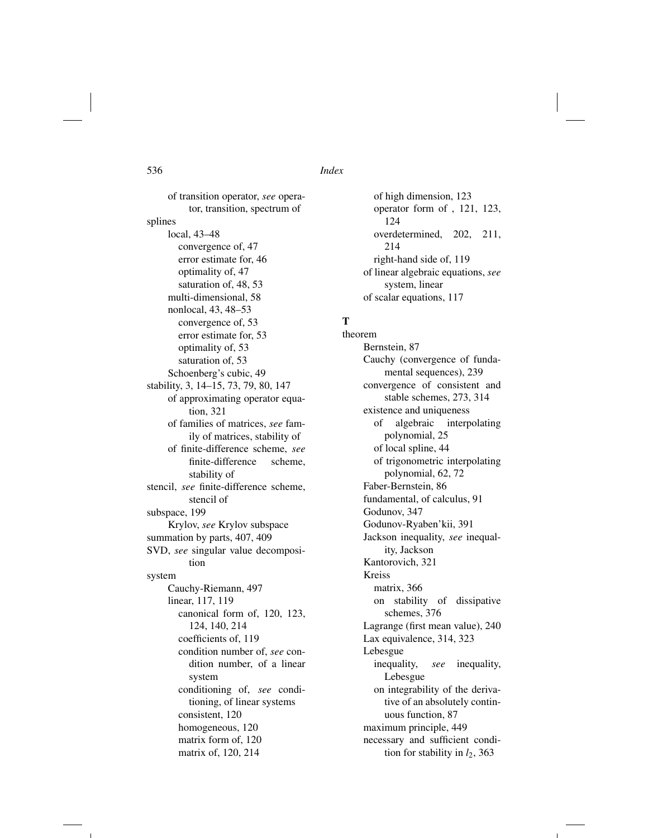of transition operator, *see* operator, transition, spectrum of splines local, 43–48 convergence of, 47 error estimate for, 46 optimality of, 47 saturation of, 48, 53 multi-dimensional, 58 nonlocal, 43, 48–53 convergence of, 53 error estimate for, 53 optimality of, 53 saturation of, 53 Schoenberg's cubic, 49 stability, 3, 14–15, 73, 79, 80, 147 of approximating operator equation, 321 of families of matrices, *see* family of matrices, stability of of finite-difference scheme, *see* finite-difference scheme, stability of stencil, *see* finite-difference scheme, stencil of subspace, 199 Krylov, *see* Krylov subspace summation by parts, 407, 409 SVD, *see* singular value decomposition system Cauchy-Riemann, 497 linear, 117, 119 canonical form of, 120, 123, 124, 140, 214 coefficients of, 119 condition number of, *see* condition number, of a linear system conditioning of, *see* conditioning, of linear systems consistent, 120 homogeneous, 120 matrix form of, 120

matrix of, 120, 214

of high dimension, 123 operator form of , 121, 123, 124 overdetermined, 202, 211, 214 right-hand side of, 119 of linear algebraic equations, *see* system, linear of scalar equations, 117

## T

theorem Bernstein, 87 Cauchy (convergence of fundamental sequences), 239 convergence of consistent and stable schemes, 273, 314 existence and uniqueness of algebraic interpolating polynomial, 25 of local spline, 44 of trigonometric interpolating polynomial, 62, 72 Faber-Bernstein, 86 fundamental, of calculus, 91 Godunov, 347 Godunov-Ryaben'kii, 391 Jackson inequality, *see* inequality, Jackson Kantorovich, 321 Kreiss matrix, 366 on stability of dissipative schemes, 376 Lagrange (first mean value), 240 Lax equivalence, 314, 323 Lebesgue inequality, *see* inequality, Lebesgue on integrability of the derivative of an absolutely continuous function, 87 maximum principle, 449 necessary and sufficient condition for stability in  $l_2$ , 363